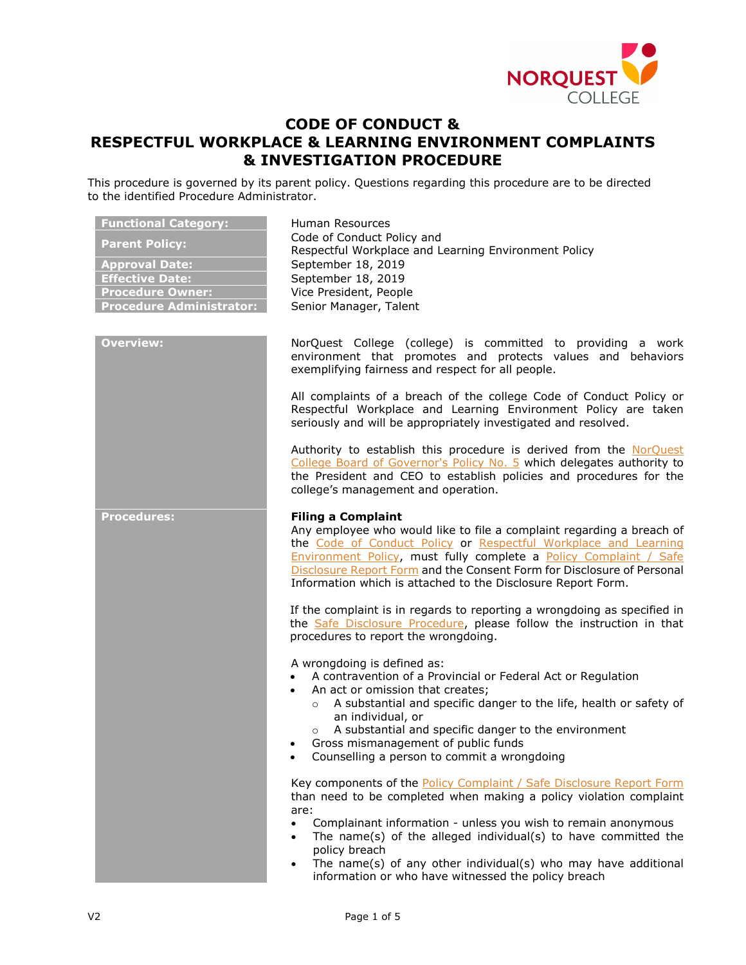

# **CODE OF CONDUCT & RESPECTFUL WORKPLACE & LEARNING ENVIRONMENT COMPLAINTS & INVESTIGATION PROCEDURE**

This procedure is governed by its parent policy. Questions regarding this procedure are to be directed to the identified Procedure Administrator.

| <b>Functional Category:</b><br><b>Parent Policy:</b><br><b>Approval Date:</b><br><b>Effective Date:</b><br><b>Procedure Owner:</b><br><b>Procedure Administrator:</b> | Human Resources<br>Code of Conduct Policy and<br>Respectful Workplace and Learning Environment Policy<br>September 18, 2019<br>September 18, 2019<br>Vice President, People<br>Senior Manager, Talent                                                                                                                                                                                                                                                     |
|-----------------------------------------------------------------------------------------------------------------------------------------------------------------------|-----------------------------------------------------------------------------------------------------------------------------------------------------------------------------------------------------------------------------------------------------------------------------------------------------------------------------------------------------------------------------------------------------------------------------------------------------------|
| <b>Overview:</b>                                                                                                                                                      | NorQuest College (college) is committed to providing a work<br>environment that promotes and protects values and behaviors<br>exemplifying fairness and respect for all people.                                                                                                                                                                                                                                                                           |
|                                                                                                                                                                       | All complaints of a breach of the college Code of Conduct Policy or<br>Respectful Workplace and Learning Environment Policy are taken<br>seriously and will be appropriately investigated and resolved.                                                                                                                                                                                                                                                   |
|                                                                                                                                                                       | Authority to establish this procedure is derived from the NorQuest<br>College Board of Governor's Policy No. 5 which delegates authority to<br>the President and CEO to establish policies and procedures for the<br>college's management and operation.                                                                                                                                                                                                  |
| <b>Procedures:</b>                                                                                                                                                    | <b>Filing a Complaint</b><br>Any employee who would like to file a complaint regarding a breach of<br>the Code of Conduct Policy or Respectful Workplace and Learning<br>Environment Policy, must fully complete a Policy Complaint / Safe<br>Disclosure Report Form and the Consent Form for Disclosure of Personal<br>Information which is attached to the Disclosure Report Form.                                                                      |
|                                                                                                                                                                       | If the complaint is in regards to reporting a wrongdoing as specified in<br>the Safe Disclosure Procedure, please follow the instruction in that<br>procedures to report the wrongdoing.                                                                                                                                                                                                                                                                  |
|                                                                                                                                                                       | A wrongdoing is defined as:<br>A contravention of a Provincial or Federal Act or Regulation<br>An act or omission that creates;<br>A substantial and specific danger to the life, health or safety of<br>$\circ$<br>an individual, or<br>o A substantial and specific danger to the environment<br>Gross mismanagement of public funds<br>• Counselling a person to commit a wrongdoing                                                                   |
|                                                                                                                                                                       | Key components of the Policy Complaint / Safe Disclosure Report Form<br>than need to be completed when making a policy violation complaint<br>are:<br>Complainant information - unless you wish to remain anonymous<br>$\bullet$<br>The name(s) of the alleged individual(s) to have committed the<br>$\bullet$<br>policy breach<br>The name(s) of any other individual(s) who may have additional<br>information or who have witnessed the policy breach |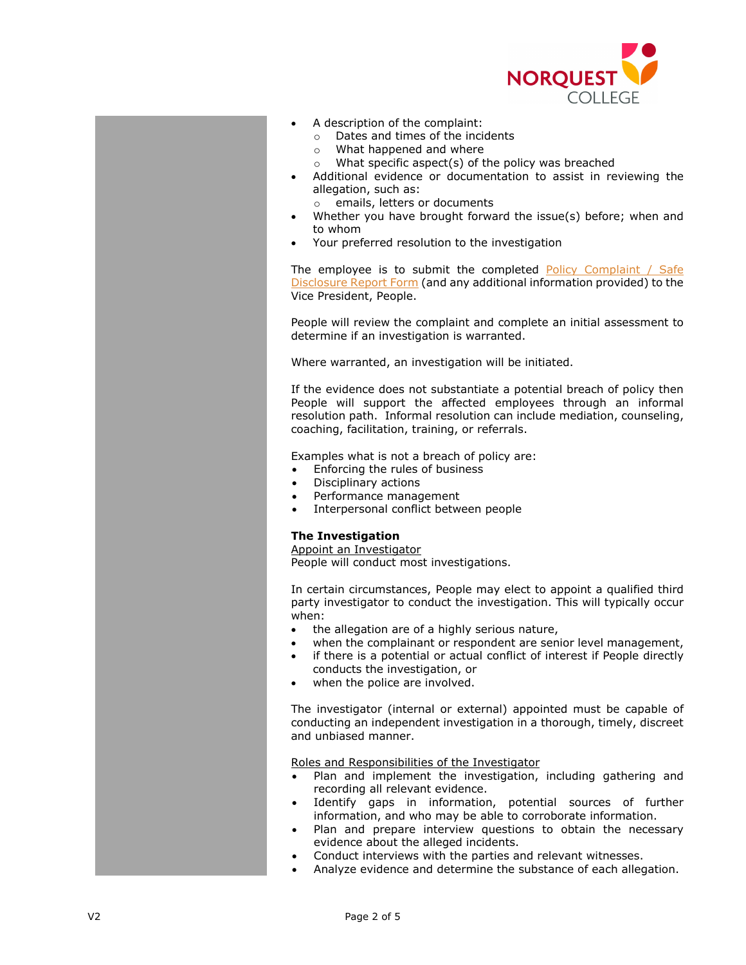

- A description of the complaint:
	- o Dates and times of the incidents
	- o What happened and where
	- o What specific aspect(s) of the policy was breached
- Additional evidence or documentation to assist in reviewing the allegation, such as:
	- o emails, letters or documents
- Whether you have brought forward the issue(s) before; when and to whom
- Your preferred resolution to the investigation

The employee is to submit the completed [Policy Complaint](http://theq.norquest.ca/Departments/WDHR/Public-Documents/Forms/Policy-Complaint-Public-Interest-Disclosure-Report.aspx) / Safe [Disclosure Report Form](http://theq.norquest.ca/Departments/WDHR/Public-Documents/Forms/Policy-Complaint-Public-Interest-Disclosure-Report.aspx) (and any additional information provided) to the Vice President, People.

People will review the complaint and complete an initial assessment to determine if an investigation is warranted.

Where warranted, an investigation will be initiated.

If the evidence does not substantiate a potential breach of policy then People will support the affected employees through an informal resolution path. Informal resolution can include mediation, counseling, coaching, facilitation, training, or referrals.

Examples what is not a breach of policy are:

- Enforcing the rules of business
- Disciplinary actions
- Performance management
- Interpersonal conflict between people

### **The Investigation**

Appoint an Investigator

People will conduct most investigations.

In certain circumstances, People may elect to appoint a qualified third party investigator to conduct the investigation. This will typically occur when:

- the allegation are of a highly serious nature,
- when the complainant or respondent are senior level management,
- if there is a potential or actual conflict of interest if People directly conducts the investigation, or
- when the police are involved.

The investigator (internal or external) appointed must be capable of conducting an independent investigation in a thorough, timely, discreet and unbiased manner.

Roles and Responsibilities of the Investigator

- Plan and implement the investigation, including gathering and recording all relevant evidence.
- Identify gaps in information, potential sources of further information, and who may be able to corroborate information.
- Plan and prepare interview questions to obtain the necessary evidence about the alleged incidents.
- Conduct interviews with the parties and relevant witnesses.
- Analyze evidence and determine the substance of each allegation.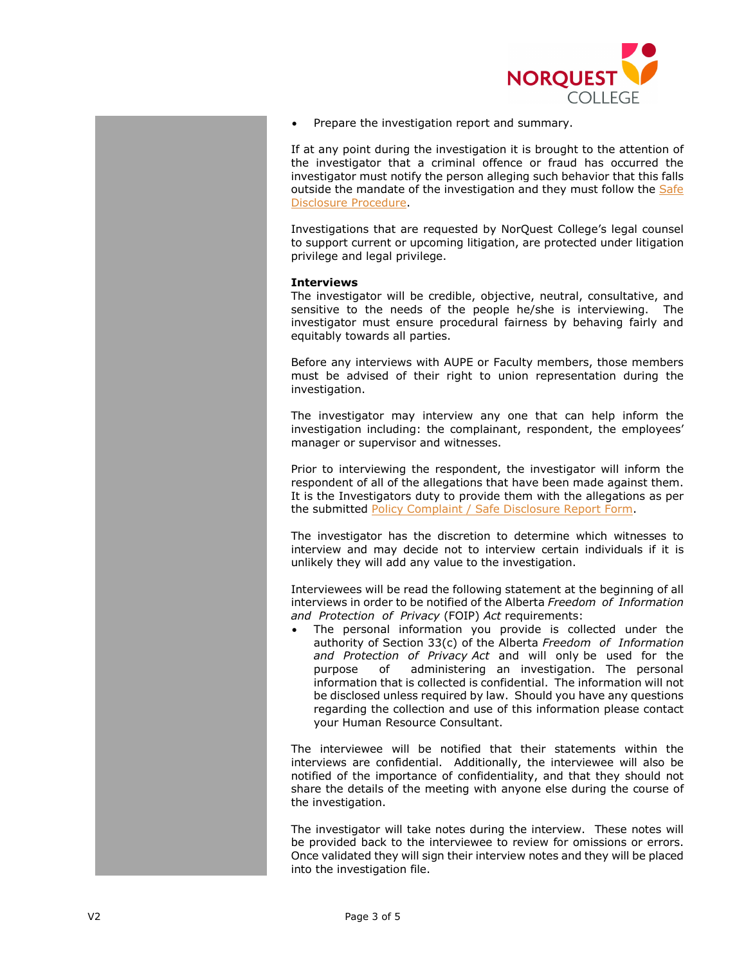

• Prepare the investigation report and summary.

If at any point during the investigation it is brought to the attention of the investigator that a criminal offence or fraud has occurred the investigator must notify the person alleging such behavior that this falls outside the mandate of the investigation and they must follow the Safe [Disclosure Procedure.](https://www.norquest.ca/about-us/policies-procedures/human-resources/safe-disclosure-policy/safe-disclosure-procedure.aspx)

Investigations that are requested by NorQuest College's legal counsel to support current or upcoming litigation, are protected under litigation privilege and legal privilege.

### **Interviews**

The investigator will be credible, objective, neutral, consultative, and sensitive to the needs of the people he/she is interviewing. The investigator must ensure procedural fairness by behaving fairly and equitably towards all parties.

Before any interviews with AUPE or Faculty members, those members must be advised of their right to union representation during the investigation.

The investigator may interview any one that can help inform the investigation including: the complainant, respondent, the employees' manager or supervisor and witnesses.

Prior to interviewing the respondent, the investigator will inform the respondent of all of the allegations that have been made against them. It is the Investigators duty to provide them with the allegations as per the submitted [Policy Complaint / Safe Disclosure Report Form.](http://theq.norquest.ca/Departments/WDHR/Public-Documents/Forms/Policy-Complaint-Public-Interest-Disclosure-Report.aspx)

The investigator has the discretion to determine which witnesses to interview and may decide not to interview certain individuals if it is unlikely they will add any value to the investigation.

Interviewees will be read the following statement at the beginning of all interviews in order to be notified of the Alberta *Freedom of Information and Protection of Privacy* (FOIP) *Act* requirements:

The personal information you provide is collected under the authority of Section 33(c) of the Alberta *Freedom of Information and Protection of Privacy Act* and will only be used for the purpose of administering an investigation. The personal information that is collected is confidential. The information will not be disclosed unless required by law. Should you have any questions regarding the collection and use of this information please contact your Human Resource Consultant.

The interviewee will be notified that their statements within the interviews are confidential. Additionally, the interviewee will also be notified of the importance of confidentiality, and that they should not share the details of the meeting with anyone else during the course of the investigation.

The investigator will take notes during the interview. These notes will be provided back to the interviewee to review for omissions or errors. Once validated they will sign their interview notes and they will be placed into the investigation file.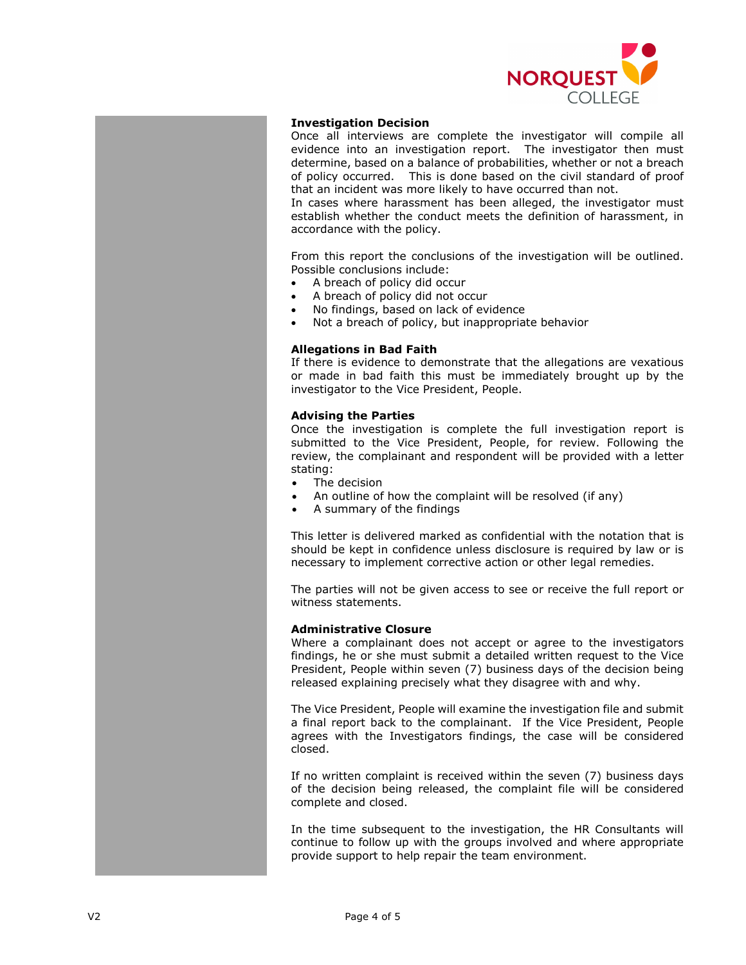

## **Investigation Decision**

Once all interviews are complete the investigator will compile all evidence into an investigation report. The investigator then must determine, based on a balance of probabilities, whether or not a breach of policy occurred. This is done based on the civil standard of proof that an incident was more likely to have occurred than not.

In cases where harassment has been alleged, the investigator must establish whether the conduct meets the definition of harassment, in accordance with the policy.

From this report the conclusions of the investigation will be outlined. Possible conclusions include:

- A breach of policy did occur
- A breach of policy did not occur
- No findings, based on lack of evidence
- Not a breach of policy, but inappropriate behavior

## **Allegations in Bad Faith**

If there is evidence to demonstrate that the allegations are vexatious or made in bad faith this must be immediately brought up by the investigator to the Vice President, People.

### **Advising the Parties**

Once the investigation is complete the full investigation report is submitted to the Vice President, People, for review. Following the review, the complainant and respondent will be provided with a letter stating:

- The decision
- An outline of how the complaint will be resolved (if any)
- A summary of the findings

This letter is delivered marked as confidential with the notation that is should be kept in confidence unless disclosure is required by law or is necessary to implement corrective action or other legal remedies.

The parties will not be given access to see or receive the full report or witness statements.

## **Administrative Closure**

Where a complainant does not accept or agree to the investigators findings, he or she must submit a detailed written request to the Vice President, People within seven (7) business days of the decision being released explaining precisely what they disagree with and why.

The Vice President, People will examine the investigation file and submit a final report back to the complainant. If the Vice President, People agrees with the Investigators findings, the case will be considered closed.

If no written complaint is received within the seven (7) business days of the decision being released, the complaint file will be considered complete and closed.

In the time subsequent to the investigation, the HR Consultants will continue to follow up with the groups involved and where appropriate provide support to help repair the team environment.